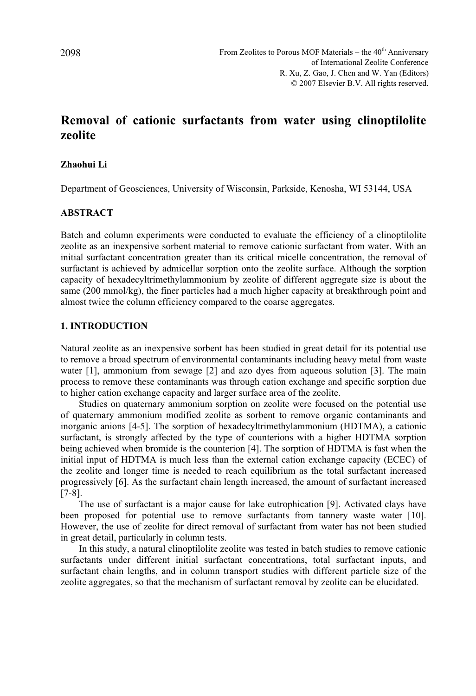# **Removal of cationic surfactants from water using clinoptilolite zeolite**

## **Zhaohui Li**

Department of Geosciences, University of Wisconsin, Parkside, Kenosha, WI 53144, USA

## **ABSTRACT**

Batch and column experiments were conducted to evaluate the efficiency of a clinoptilolite zeolite as an inexpensive sorbent material to remove cationic surfactant from water. With an initial surfactant concentration greater than its critical micelle concentration, the removal of surfactant is achieved by admicellar sorption onto the zeolite surface. Although the sorption capacity of hexadecyltrimethylammonium by zeolite of different aggregate size is about the same (200 mmol/kg), the finer particles had a much higher capacity at breakthrough point and almost twice the column efficiency compared to the coarse aggregates.

## **1. INTRODUCTION**

Natural zeolite as an inexpensive sorbent has been studied in great detail for its potential use to remove a broad spectrum of environmental contaminants including heavy metal from waste water [1], ammonium from sewage [2] and azo dyes from aqueous solution [3]. The main process to remove these contaminants was through cation exchange and specific sorption due to higher cation exchange capacity and larger surface area of the zeolite.

Studies on quaternary ammonium sorption on zeolite were focused on the potential use of quaternary ammonium modified zeolite as sorbent to remove organic contaminants and inorganic anions [4-5]. The sorption of hexadecyltrimethylammonium (HDTMA), a cationic surfactant, is strongly affected by the type of counterions with a higher HDTMA sorption being achieved when bromide is the counterion [4]. The sorption of HDTMA is fast when the initial input of HDTMA is much less than the external cation exchange capacity (ECEC) of the zeolite and longer time is needed to reach equilibrium as the total surfactant increased progressively [6]. As the surfactant chain length increased, the amount of surfactant increased [7-8].

The use of surfactant is a major cause for lake eutrophication [9]. Activated clays have been proposed for potential use to remove surfactants from tannery waste water [10]. However, the use of zeolite for direct removal of surfactant from water has not been studied in great detail, particularly in column tests.

In this study, a natural clinoptilolite zeolite was tested in batch studies to remove cationic surfactants under different initial surfactant concentrations, total surfactant inputs, and surfactant chain lengths, and in column transport studies with different particle size of the zeolite aggregates, so that the mechanism of surfactant removal by zeolite can be elucidated.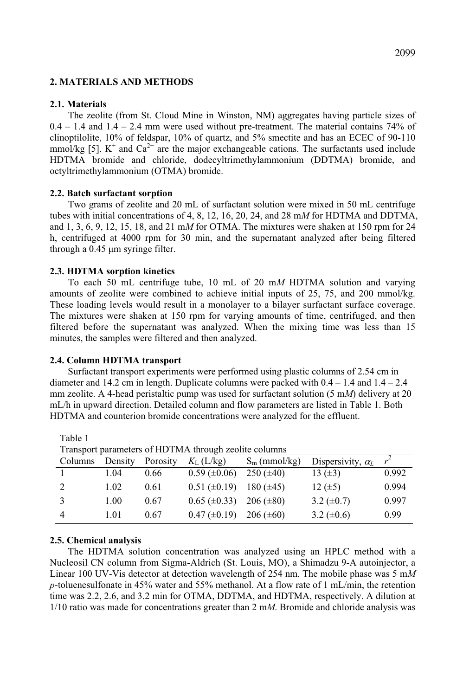### **2. MATERIALS AND METHODS**

## **2.1. Materials**

The zeolite (from St. Cloud Mine in Winston, NM) aggregates having particle sizes of  $0.4 - 1.4$  and  $1.4 - 2.4$  mm were used without pre-treatment. The material contains 74% of clinoptilolite, 10% of feldspar, 10% of quartz, and 5% smectite and has an ECEC of 90-110 mmol/kg [5].  $K^+$  and  $Ca^{2+}$  are the major exchangeable cations. The surfactants used include HDTMA bromide and chloride, dodecyltrimethylammonium (DDTMA) bromide, and octyltrimethylammonium (OTMA) bromide.

## **2.2. Batch surfactant sorption**

Two grams of zeolite and 20 mL of surfactant solution were mixed in 50 mL centrifuge tubes with initial concentrations of 4, 8, 12, 16, 20, 24, and 28 m*M* for HDTMA and DDTMA, and 1, 3, 6, 9, 12, 15, 18, and 21 m*M* for OTMA. The mixtures were shaken at 150 rpm for 24 h, centrifuged at 4000 rpm for 30 min, and the supernatant analyzed after being filtered through a  $0.45 \mu m$  syringe filter.

## **2.3. HDTMA sorption kinetics**

To each 50 mL centrifuge tube, 10 mL of 20 m*M* HDTMA solution and varying amounts of zeolite were combined to achieve initial inputs of 25, 75, and 200 mmol/kg. These loading levels would result in a monolayer to a bilayer surfactant surface coverage. The mixtures were shaken at 150 rpm for varying amounts of time, centrifuged, and then filtered before the supernatant was analyzed. When the mixing time was less than 15 minutes, the samples were filtered and then analyzed.

#### **2.4. Column HDTMA transport**

Surfactant transport experiments were performed using plastic columns of 2.54 cm in diameter and 14.2 cm in length. Duplicate columns were packed with  $0.4 - 1.4$  and  $1.4 - 2.4$ mm zeolite. A 4-head peristaltic pump was used for surfactant solution (5 m*M*) delivery at 20 mL/h in upward direction. Detailed column and flow parameters are listed in Table 1. Both HDTMA and counterion bromide concentrations were analyzed for the effluent.

| Transport parameters of HDTMA through zeolite columns |         |          |                     |                 |                          |       |
|-------------------------------------------------------|---------|----------|---------------------|-----------------|--------------------------|-------|
| Columns                                               | Density | Porosity | $K_{\rm L}$ (L/kg)  | $S_m$ (mmol/kg) | Dispersivity, $\alpha_L$ | $r^2$ |
|                                                       | 1.04    | 0.66     | $0.59 \ (\pm 0.06)$ | $250 (\pm 40)$  | 13 $(\pm 3)$             | 0.992 |
| $\mathcal{D}$                                         | 1.02    | 0.61     | $0.51 (\pm 0.19)$   | 180 $(\pm 45)$  | 12 $(\pm 5)$             | 0.994 |
|                                                       | 1.00    | 0.67     | $0.65 (\pm 0.33)$   | $206 (\pm 80)$  | 3.2 $(\pm 0.7)$          | 0.997 |
| $\overline{4}$                                        | 1.01    | 0.67     | $0.47 (\pm 0.19)$   | $206 (\pm 60)$  | 3.2 $(\pm 0.6)$          | 0.99  |

#### **2.5. Chemical analysis**

Table 1

The HDTMA solution concentration was analyzed using an HPLC method with a Nucleosil CN column from Sigma-Aldrich (St. Louis, MO), a Shimadzu 9-A autoinjector, a Linear 100 UV-Vis detector at detection wavelength of 254 nm. The mobile phase was 5 m*M p*-toluenesulfonate in 45% water and 55% methanol. At a flow rate of 1 mL/min, the retention time was 2.2, 2.6, and 3.2 min for OTMA, DDTMA, and HDTMA, respectively. A dilution at 1/10 ratio was made for concentrations greater than 2 m*M*. Bromide and chloride analysis was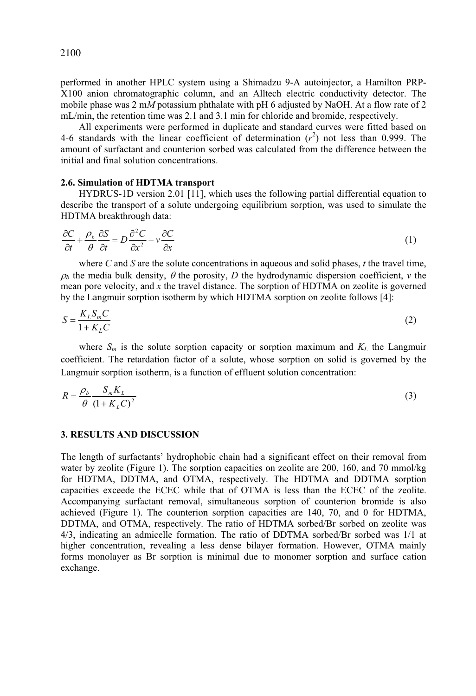2100

performed in another HPLC system using a Shimadzu 9-A autoinjector, a Hamilton PRP-X100 anion chromatographic column, and an Alltech electric conductivity detector. The mobile phase was 2 m*M* potassium phthalate with pH 6 adjusted by NaOH. At a flow rate of 2 mL/min, the retention time was 2.1 and 3.1 min for chloride and bromide, respectively.

All experiments were performed in duplicate and standard curves were fitted based on 4-6 standards with the linear coefficient of determination  $(r^2)$  not less than 0.999. The amount of surfactant and counterion sorbed was calculated from the difference between the initial and final solution concentrations.

#### **2.6. Simulation of HDTMA transport**

HYDRUS-1D version 2.01 [11], which uses the following partial differential equation to describe the transport of a solute undergoing equilibrium sorption, was used to simulate the HDTMA breakthrough data:

$$
\frac{\partial C}{\partial t} + \frac{\rho_b}{\theta} \frac{\partial S}{\partial t} = D \frac{\partial^2 C}{\partial x^2} - v \frac{\partial C}{\partial x}
$$
 (1)

where *C* and *S* are the solute concentrations in aqueous and solid phases, *t* the travel time,  $\rho$ <sub>b</sub> the media bulk density,  $\theta$  the porosity, *D* the hydrodynamic dispersion coefficient, *v* the mean pore velocity, and *x* the travel distance. The sorption of HDTMA on zeolite is governed by the Langmuir sorption isotherm by which HDTMA sorption on zeolite follows [4]:

$$
S = \frac{K_L S_m C}{1 + K_L C} \tag{2}
$$

where  $S_m$  is the solute sorption capacity or sorption maximum and  $K_L$  the Langmuir coefficient. The retardation factor of a solute, whose sorption on solid is governed by the Langmuir sorption isotherm, is a function of effluent solution concentration:

$$
R = \frac{\rho_b}{\theta} \frac{S_m K_L}{\left(1 + K_L C\right)^2} \tag{3}
$$

## **3. RESULTS AND DISCUSSION**

The length of surfactants' hydrophobic chain had a significant effect on their removal from water by zeolite (Figure 1). The sorption capacities on zeolite are 200, 160, and 70 mmol/kg for HDTMA, DDTMA, and OTMA, respectively. The HDTMA and DDTMA sorption capacities exceede the ECEC while that of OTMA is less than the ECEC of the zeolite. Accompanying surfactant removal, simultaneous sorption of counterion bromide is also achieved (Figure 1). The counterion sorption capacities are 140, 70, and 0 for HDTMA, DDTMA, and OTMA, respectively. The ratio of HDTMA sorbed/Br sorbed on zeolite was 4/3, indicating an admicelle formation. The ratio of DDTMA sorbed/Br sorbed was 1/1 at higher concentration, revealing a less dense bilayer formation. However, OTMA mainly forms monolayer as Br sorption is minimal due to monomer sorption and surface cation exchange.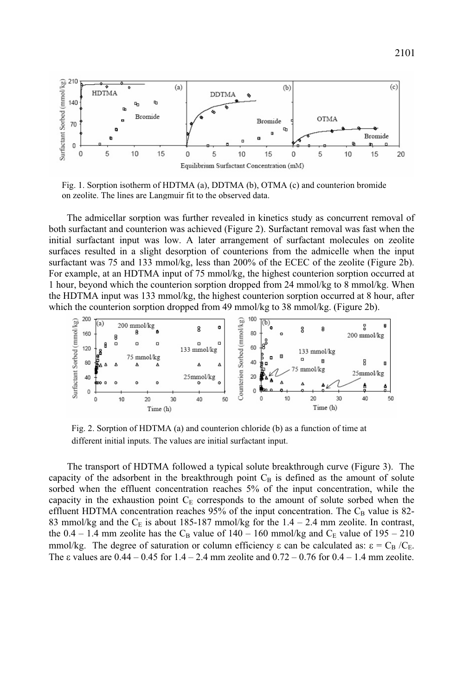

Fig. 1. Sorption isotherm of HDTMA (a), DDTMA (b), OTMA (c) and counterion bromide on zeolite. The lines are Langmuir fit to the observed data.

The admicellar sorption was further revealed in kinetics study as concurrent removal of both surfactant and counterion was achieved (Figure 2). Surfactant removal was fast when the initial surfactant input was low. A later arrangement of surfactant molecules on zeolite surfaces resulted in a slight desorption of counterions from the admicelle when the input surfactant was 75 and 133 mmol/kg, less than 200% of the ECEC of the zeolite (Figure 2b). For example, at an HDTMA input of 75 mmol/kg, the highest counterion sorption occurred at 1 hour, beyond which the counterion sorption dropped from 24 mmol/kg to 8 mmol/kg. When the HDTMA input was 133 mmol/kg, the highest counterion sorption occurred at 8 hour, after which the counterion sorption dropped from 49 mmol/kg to 38 mmol/kg. (Figure 2b).



Fig. 2. Sorption of HDTMA (a) and counterion chloride (b) as a function of time at different initial inputs. The values are initial surfactant input.

The transport of HDTMA followed a typical solute breakthrough curve (Figure 3). The capacity of the adsorbent in the breakthrough point  $C_B$  is defined as the amount of solute sorbed when the effluent concentration reaches 5% of the input concentration, while the capacity in the exhaustion point  $C_E$  corresponds to the amount of solute sorbed when the effluent HDTMA concentration reaches 95% of the input concentration. The  $C_B$  value is 82-83 mmol/kg and the  $C_E$  is about 185-187 mmol/kg for the 1.4 – 2.4 mm zeolite. In contrast, the  $0.4 - 1.4$  mm zeolite has the C<sub>B</sub> value of  $140 - 160$  mmol/kg and C<sub>E</sub> value of  $195 - 210$ mmol/kg. The degree of saturation or column efficiency  $\varepsilon$  can be calculated as:  $\varepsilon = C_B / C_E$ . The  $\varepsilon$  values are 0.44 – 0.45 for 1.4 – 2.4 mm zeolite and 0.72 – 0.76 for 0.4 – 1.4 mm zeolite.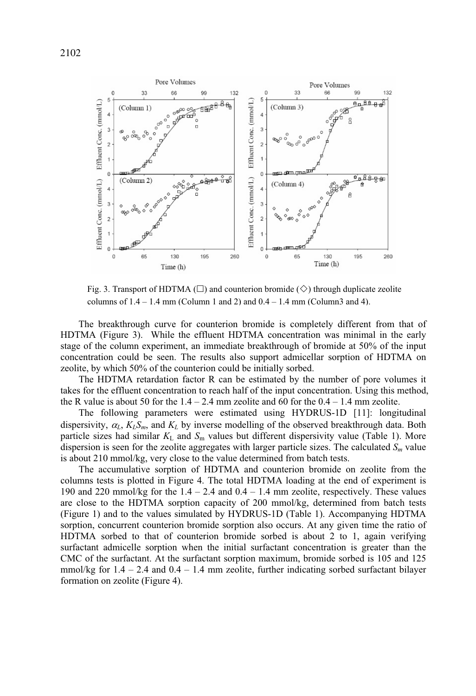

Fig. 3. Transport of HDTMA ( $\square$ ) and counterion bromide ( $\diamond$ ) through duplicate zeolite columns of  $1.4 - 1.4$  mm (Column 1 and 2) and  $0.4 - 1.4$  mm (Column3 and 4).

The breakthrough curve for counterion bromide is completely different from that of HDTMA (Figure 3). While the effluent HDTMA concentration was minimal in the early stage of the column experiment, an immediate breakthrough of bromide at 50% of the input concentration could be seen. The results also support admicellar sorption of HDTMA on zeolite, by which 50% of the counterion could be initially sorbed.

The HDTMA retardation factor R can be estimated by the number of pore volumes it takes for the effluent concentration to reach half of the input concentration. Using this method, the R value is about 50 for the  $1.4 - 2.4$  mm zeolite and 60 for the  $0.4 - 1.4$  mm zeolite.

The following parameters were estimated using HYDRUS-1D [11]: longitudinal dispersivity,  $\alpha_L$ ,  $K_L S_m$ , and  $K_L$  by inverse modelling of the observed breakthrough data. Both particle sizes had similar  $K_L$  and  $S_m$  values but different dispersivity value (Table 1). More dispersion is seen for the zeolite aggregates with larger particle sizes. The calculated  $S<sub>m</sub>$  value is about 210 mmol/kg, very close to the value determined from batch tests.

The accumulative sorption of HDTMA and counterion bromide on zeolite from the columns tests is plotted in Figure 4. The total HDTMA loading at the end of experiment is 190 and 220 mmol/kg for the  $1.4 - 2.4$  and  $0.4 - 1.4$  mm zeolite, respectively. These values are close to the HDTMA sorption capacity of 200 mmol/kg, determined from batch tests (Figure 1) and to the values simulated by HYDRUS-1D (Table 1). Accompanying HDTMA sorption, concurrent counterion bromide sorption also occurs. At any given time the ratio of HDTMA sorbed to that of counterion bromide sorbed is about 2 to 1, again verifying surfactant admicelle sorption when the initial surfactant concentration is greater than the CMC of the surfactant. At the surfactant sorption maximum, bromide sorbed is 105 and 125 mmol/kg for  $1.4 - 2.4$  and  $0.4 - 1.4$  mm zeolite, further indicating sorbed surfactant bilayer formation on zeolite (Figure 4).